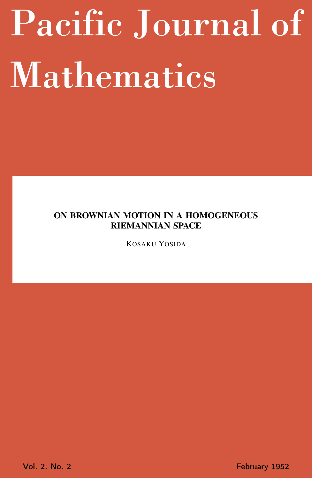# <span id="page-0-0"></span>Pacific Journal of Mathematics

# ON BROWNIAN MOTION IN A HOMOGENEOUS RIEMANNIAN SPACE

KOSAKU YOSIDA

Vol. 2, No. 2 **February 1952**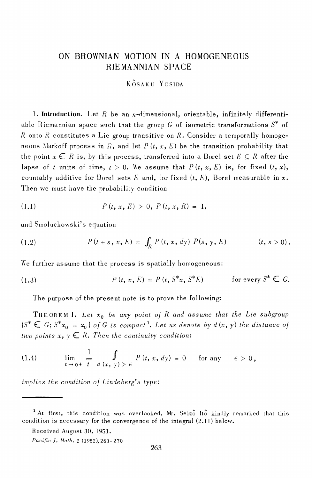## ON BROWNIAN MOTION IN A HOMOGENEOUS RIEMANNIAN SPACE

KÔSAKIL YOSIDA

1. Introduction. Let  $R$  be an *n*-dimensional, orientable, infinitely differentiable Riemannian space such that the group  $G$  of isometric transformations  $S^*$  of R onto R constitutes a Lie group transitive on R. Consider a temporally homogeneous Markoff process in R, and let  $P(t, x, E)$  be the transition probability that the point  $x \in R$  is, by this process, transferred into a Borel set  $E \subset R$  after the lapse of t units of time,  $t > 0$ . We assume that  $P(t, x, E)$  is, for fixed  $(t, x)$ , countably additive for Borel sets E and, for fixed  $(t, E)$ , Borel measurable in x. Then we must have the probability condition

(1.1) 
$$
P(t, x, E) \geq 0, P(t, x, R) = 1,
$$

and Smoluchowski's equation

(1.2) 
$$
P(t+s, x, E) = \int_{R} P(t, x, dy) P(s, y, E) \qquad (t, s > 0).
$$

We further assume that the process is spatially homogeneous:

(1.3) 
$$
P(t, x, E) = P(t, S^*x, S^*E) \quad \text{for every } S^* \in G.
$$

The purpose of the present note is to prove the following:

THEOREM 1. Let  $x_0$  be any point of R and assume that the Lie subgroup  $\{S^* \in G; S^*x_0 = x_0\}$  of G is compact<sup>1</sup>. Let us denote by  $d(x, y)$  the distance of two points  $x, y \in R$ . Then the continuity condition:

(1.4) 
$$
\lim_{t \to 0^+} \frac{1}{t} \int_{d(x, y) > \epsilon} P(t, x, dy) = 0 \quad \text{for any} \quad \epsilon > 0,
$$

implies the condition of Lindeberg's type:

Received August 30, 1951.

<sup>&</sup>lt;sup>1</sup>At first, this condition was overlooked. Mr. Seizo Ito kindly remarked that this condition is necessary for the convergence of the integral (2.11) below.

Pacific J. Math. 2 (1952), 263-270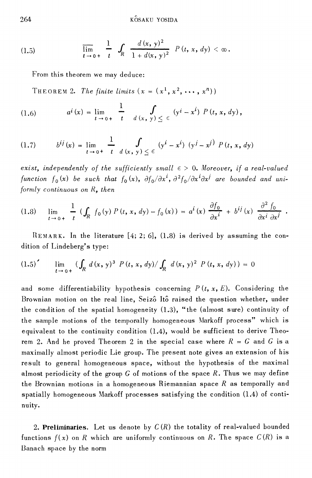(1.5) 
$$
\overline{\lim}_{t \to 0+} \frac{1}{t} \int_{R} \frac{d(x, y)^2}{1 + d(x, y)^2} P(t, x, dy) < \infty.
$$

From this theorem we may deduce:

THEOREM 2. The finite limits  $(x = (x^1, x^2, \dots, x^n))$ 

(1.6) 
$$
a^{i}(x) = \lim_{t \to 0+} \frac{1}{t} \int_{d(x, y) \leq \epsilon} (y^{i} - x^{i}) P(t, x, dy),
$$

$$
(1.7) \t\t b^{ij}(x) = \lim_{t \to 0^+} \frac{1}{t} \int_{d(x, y) \le \epsilon} (y^i - x^i) (y^j - x^j) P(t, x, dy)
$$

exist, independently of the sufficiently small  $\epsilon > 0$ . Moreover, if a real-valued function  $f_0(x)$  be such that  $f_0(x)$ ,  $\partial f_0/\partial x^i$ ,  $\partial^2 f_0/\partial x^i \partial x^j$  are bounded and uniformly continuous on  $R$ , then

$$
(1.8) \quad \lim_{t \to 0+} \frac{1}{t} \left( \int_R f_0(y) \, P(t, x, dy) - f_0(x) \right) = a^i(x) \, \frac{\partial f_0}{\partial x^i} + b^{ij}(x) \, \frac{\partial^2 f_0}{\partial x^i \partial x^j}
$$

REMARK. In the literature  $[4; 2; 6]$ ,  $(1.8)$  is derived by assuming the condition of Lindeberg's type:

$$
(1.5)' \qquad \lim_{t \to 0+} \left( \int_R d(x, y)^3 \ P(t, x, dy) / \int_R d(x, y)^2 \ P(t, x, dy) \right) = 0
$$

and some differentiability hypothesis concerning  $P(t, x, E)$ . Considering the Brownian motion on the real line, Seizô Itô raised the question whether, under the condition of the spatial homogeneity (1.3), "the (almost sure) continuity of the sample motions of the temporally homogeneous Markoff process" which is equivalent to the continuity condition (1.4), would be sufficient to derive Theorem 2. And he proved Theorem 2 in the special case where  $R = G$  and G is a maximally almost periodic Lie group. The present note gives an extension of his result to general homogeneous space, without the hypothesis of the maximal almost periodicity of the group  $G$  of motions of the space  $R$ . Thus we may define the Brownian motions in a homogeneous Riemannian space  $R$  as temporally and spatially homogeneous Markoff processes satisfying the condition (1.4) of continuity.

2. Preliminaries. Let us denote by  $C(R)$  the totality of real-valued bounded functions  $f(x)$  on R which are uniformly continuous on R. The space  $C(R)$  is a Banach space by the norm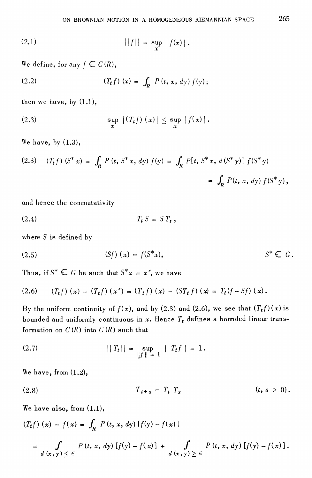(2.1) 
$$
||f|| = \sup_{x} |f(x)|
$$
.

We define, for any  $f \in C(R)$ ,

(2.2) 
$$
(T_t f)(x) = \int_R P(t, x, dy) f(y);
$$

then we have, by  $(1.1)$ ,

(2.3) 
$$
\sup_{x} |(T_t f)(x)| \leq \sup_{x} |f(x)|.
$$

We have, by  $(1.3)$ ,

(2.3) 
$$
(T_t f) (S^* x) = \int_R P(t, S^* x, dy) f(y) = \int_R P[t, S^* x, d(S^* y)] f(S^* y)
$$
  

$$
= \int_R P(t, x, dy) f(S^* y),
$$

and hence the commutativity

$$
(2.4) \t\t T_t S = S T_t,
$$

where  $S$  is defined by

(2.5) 
$$
(Sf)(x) = f(S^*x),
$$
  $S^* \in G.$ 

Thus, if  $S^* \in G$  be such that  $S^*x = x'$ , we have

$$
(2.6) \qquad (T_t f)(x) - (T_t f)(x') = (T_t f)(x) - (ST_t f)(x) = T_t (f - Sf)(x)
$$

By the uniform continuity of  $f(x)$ , and by (2.3) and (2.6), we see that  $(T_t f)(x)$  is bounded and uniformly continuous in x. Hence  $T_t$  defines a bounded linear transformation on  $C(R)$  into  $C(R)$  such that

(2.7) 
$$
||T_t|| = \sup_{||f|| = 1} ||T_t f|| = 1.
$$

We have, from  $(1.2)$ ,

(2.8) 
$$
T_{t+s} = T_t T_s \qquad (t, s > 0).
$$

We have also, from  $(1.1)$ ,

$$
(T_t f)(x) - f(x) = \int_R P(t, x, dy) [f(y) - f(x)]
$$
  
= 
$$
\int_{d(x, y) \leq \epsilon} P(t, x, dy) [f(y) - f(x)] + \int_{d(x, y) \geq \epsilon} P(t, x, dy) [f(y) - f(x)].
$$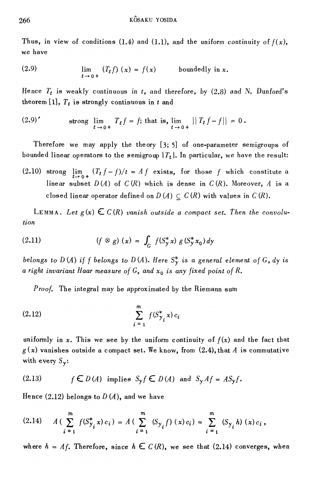Thus, in view of conditions (1.4) and (1.1), and the uniform continuity of  $f(x)$ , we have

(2.9) 
$$
\lim_{t \to 0+} (T_t f)(x) = f(x) \quad \text{boundedly in } x.
$$

Hence  $T_t$  is weakly continuous in t, and therefore, by (2.8) and N. Dunford's theorem [1],  $T_t$  is strongly continuous in t and

$$
(2.9) \qquad \qquad \text{strong } \lim_{t \to 0+} T_t f = f; \text{ that is, } \lim_{t \to 0+} || T_t f - f || = 0 \, .
$$

Therefore we may apply the theory  $[3; 5]$  of one-parameter semigroups of bounded linear operators to the semigroup  $\{T_t\}$ . In particular, we have the result:

(2.10) strong  $\lim_{t\to 0+} (T_t f - f)/t = Af$  exists, for those f which constitute a linear subset  $D(A)$  of  $C(R)$  which is dense in  $C(R)$ . Moreover, A is a closed linear operator defined on  $D(A) \subseteq C(R)$  with values in  $C(R)$ .

LEMMA. Let  $g(x) \in C(R)$  vanish outside a compact set. Then the convolution

(2.11) 
$$
(f \otimes g) (x) = \int_G f(S_y^* x) g(S_y^* x_0) dy
$$

belongs to D(A) if f belongs to D(A). Here  $S_Y^*$  is a general element of G, dy is a right invariant Haar measure of G, and  $x_0$  is any fixed point of R.

*Proof.* The integral may be approximated by the Riemann sum

(2.12) 
$$
\sum_{i=1}^{m} f(S_{\gamma_i}^* x) c_i
$$

uniformly in x. This we see by the uniform continuity of  $f(x)$  and the fact that  $g(x)$  vanishes outside a compact set. We know, from (2.4), that A is commutative with every  $S_{\gamma}$ :

(2.13) 
$$
f \in D(A)
$$
 implies  $S_y f \in D(A)$  and  $S_y Af = AS_y f$ .

Hence  $(2.12)$  belongs to  $D(A)$ , and we have

$$
(2.14) \tA(\sum_{i=1}^{m} f(S_{\gamma_i}^* x) c_i) = A(\sum_{i=1}^{m} (S_{\gamma_i} f) (x) c_i) = \sum_{i=1}^{m} (S_{\gamma_i} h) (x) c_i,
$$

where  $h = Af$ . Therefore, since  $h \in C(R)$ , we see that (2.14) converges, when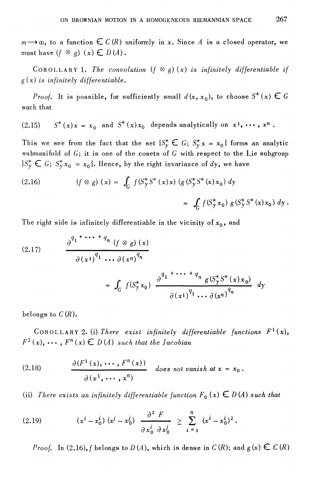$m \rightarrow \infty$ , to a function  $\in C(R)$  uniformly in x. Since A is a closed operator, we must have  $(f \otimes g)(x) \in D(A)$ .

COROLLARY 1. The convolution  $(f \otimes g)(x)$  is infinitely differentiable if  $g(x)$  is infinitely differentiable.

*Proof.* It is possible, for sufficiently small  $d(x, x_0)$ , to choose  $S^*(x) \in G$ such that

 $S^*(x)x = x_0$  and  $S^*(x)x_0$  depends analytically on  $x^1, \dots, x^n$ .  $(2.15)$ 

This we see from the fact that the set  $\{S_{\gamma}^* \subset G; S_{\gamma}^* x = x_0\}$  forms an analytic submanifold of  $G$ ; it is one of the cosets of G with respect to the Lie subgroup  $\{S_{\mathcal{Y}}^*\in G;\ S_{\mathcal{Y}}^*x_0=x_0\}$ . Hence, by the right invariance of dy, we have

(2.16) 
$$
(f \otimes g) (x) = \int_G f(S_y^* S^* (x) x) (g (S_y^* S^* (x) x_0) dy = \int_G f(S_y^* x_0) g (S_y^* S^* (x) x_0) dy.
$$

The right side is infinitely differentiable in the vicinity of  $x_0$ , and

(2.17) 
$$
\frac{\partial^{q_1 + \cdots + q_n} (f \otimes g) (x)}{\partial (x^1)^{q_1} \cdots \partial (x^n)^{q_n}} = \int_G f(S_y^* x_0) \frac{\partial^{q_1 + \cdots + q_n} g(S_y^* S^* (x) x_0)}{\partial (x^1)^{q_1} \cdots \partial (x^n)^{q_n}} dy
$$

belongs to  $C(R)$ .

COROLLARY 2. (i) There exist infinitely differentiable functions  $F^1(x)$ ,  $F^2(x), \cdots, F^n(x) \in D(A)$  such that the Jacobian

(2.18) 
$$
\frac{\partial (F^1(x), \cdots, F^n(x))}{\partial (x^1, \cdots, x^n)} \text{ does not vanish at } x = x_0.
$$

(ii) There exists an infinitely differentiable function  $F_0(x) \in D(A)$  such that

(2.19) 
$$
(x^{i} - x_{0}^{i}) (x^{j} - x_{0}^{j}) \frac{\partial^{2} F}{\partial x_{0}^{i} \partial x_{0}^{j}} \geq \sum_{i=1}^{n} (x^{i} - x_{0}^{i})^{2}.
$$

*Proof.* In (2.16), f belongs to  $D(A)$ , which is dense in  $C(R)$ ; and  $g(x) \in C(R)$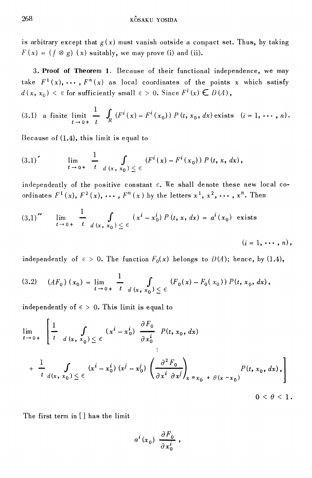is arbitrary except that  $g(x)$  must vanish outside a compact set. Thus, by taking  $F(x) = (f \otimes g)(x)$  suitably, we may prove (i) and (ii).

3. Proof of Theorem 1. Because of their functional independence, we may take  $F^1(x), \cdots, F^n(x)$  as local coordinates of the points x which satisfy  $d(x, x_0) < \epsilon$  for sufficiently small  $\epsilon > 0$ . Since  $F^i(x) \in D(A)$ ,

(3.1) a finite limit 
$$
\frac{1}{t \rightarrow 0+} \int_R (F^i(x) - F^i(x_0)) P(t, x_0, dx) \text{ exists } (i = 1, \dots, n).
$$

Because of (1.4), this limit is equal to

$$
(3.1)'\qquad \lim_{t\to 0+}\frac{1}{t}\int_{d(x,\ x_0)\leq \epsilon} (F^i(x)-F^i(x_0)) P(t, x, dx),
$$

independently of the positive constant  $\epsilon$ . We shall denote these new local coordinates  $F^1(x)$ ,  $F^2(x)$ , ...,  $F^n(x)$  by the letters  $x^1$ ,  $x^2$ , ...,  $x^n$ . Then

$$
(3.1)'' \quad \lim_{t \to 0+} \frac{1}{t} \int_{d(x, x_0) \le \epsilon} (x^i - x_0^i) P(t, x, dx) = a^i(x_0) \text{ exists}
$$

 $(i=1,\cdots,n),$ 

independently of  $\epsilon > 0$ . The function  $F_0(x)$  belongs to  $D(A)$ ; hence, by (1.4),

$$
(3.2) \quad (AF_0)(x_0) = \lim_{t \to 0+} \frac{1}{t} \int_{d(x, x_0)} \int_{0}^{t} (F_0(x) - F_0(x_0)) P(t, x_0, dx),
$$

independently of  $\epsilon > 0$ . This limit is equal to

$$
\lim_{t \to 0+} \left[ \frac{1}{t} \int_{d(x, x_0)} \int_{0}^{t} (x^i - x_0^i) \frac{\partial F_0}{\partial x_0^i} P(t, x_0, dx) \right]
$$
\n
$$
+ \frac{1}{t} \int_{d(x, x_0)} \int_{0}^{t} (x^i - x_0^i) (x^j - x_0^j) \left( \frac{\partial^2 F_0}{\partial x^i \partial x^j} \right)_{x = x_0 + \theta(x - x_0)} P(t, x_0, dx),
$$
\n
$$
0 < \theta < 1
$$

The first term in [] has the limit

$$
a^i(x_0)\,\frac{\partial F_0}{\partial x_0^i}\,,
$$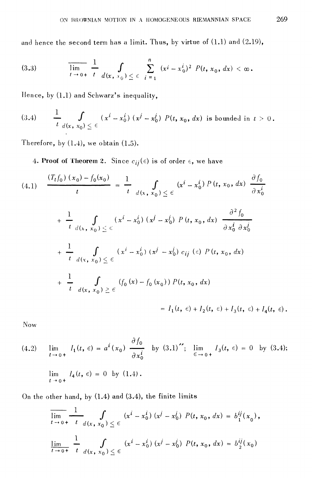and hence the second term has a limit. Thus, by virtue of (1.1) and (2.19),

(3.3) 
$$
\overline{\lim_{t \to 0+} \frac{1}{t}} \int_{d(x, x_0)} \sum_{j=1}^n (x^i - x_0^i)^2 P(t, x_0, dx) < \infty.
$$

Hence, by (1.1) and Schwarz's inequality,

$$
(3.4) \qquad \frac{1}{t}\,\int\limits_{d(x,\,x_0)\,\leq\,\epsilon} (x^i-x_0^i)\,(x^j-x_0^j)\,P(t,\,x_0,\,dx) \text{ is bounded in } t\,>\,0\,.
$$

Therefore, by  $(1.4)$ , we obtain  $(1.5)$ .

4. Proof of Theorem 2. Since  $c_{ij}(\epsilon)$  is of order  $\epsilon$ , we have

$$
(4.1) \quad \frac{(T_t f_0) (x_0) - f_0(x_0)}{t} = \frac{1}{t} \int_{d(x_0, x_0) \le \epsilon} (x^i - x_0^i) P(t, x_0, dx) \frac{\partial f_0}{\partial x_0^i}
$$

$$
+\frac{1}{t} \int_{d(x, x_0)} \int_{\leq \epsilon} (x^i - x_0^i) (x^j - x_0^j) P(t, x_0, dx) \frac{\partial^2 f_0}{\partial x_0^i \partial x_0^j} + \frac{1}{t} \int_{d(x, x_0)} \int_{\leq \epsilon} (x^i - x_0^i) (x^j - x_0^j) c_{ij} (\epsilon) P(t, x_0, dx) + \frac{1}{t} \int_{d(x, x_0)} \int_{\leq \epsilon} (f_0(x) - f_0(x_0)) P(t, x_0, dx) = I_1(t, \epsilon) + I_2(t, \epsilon) + I_3(t, \epsilon) + I_4(t, \epsilon).
$$

Now

(4.2) 
$$
\lim_{t \to 0+} I_1(t, \epsilon) = a^i(x_0) \frac{\partial f_0}{\partial x_0^i} \text{ by } (3.1)''; \lim_{\epsilon \to 0+} I_3(t, \epsilon) = 0 \text{ by } (3.4);
$$
  

$$
\lim_{t \to 0+} I_4(t, \epsilon) = 0 \text{ by } (1.4).
$$

On the other hand, by (1.4) and (3.4), the finite limits

$$
\overline{\lim_{t \to 0+} \frac{1}{t} \frac{1}{d(x, x_0)} \int_{0}^{t} (x^i - x_0^i) (x^j - x_0^j) P(t, x_0, dx) = b_1^{ij}(x_0),
$$
\n
$$
\overline{\lim_{t \to 0+} \frac{1}{t} \frac{1}{d(x, x_0)} \int_{0}^{t} (x^i - x_0^i) (x^j - x_0^j) P(t, x_0, dx) = b_2^{ij}(x_0)}
$$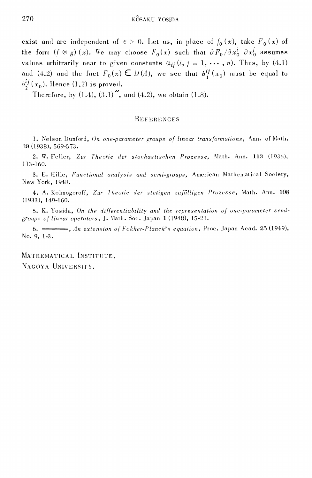exist and are independent of  $\epsilon > 0$ . Let us, in place of  $f_0(x)$ , take  $F_0(x)$  of the form  $(f \otimes g)(x)$ . We may choose  $F_0(x)$  such that  $\partial F_0 / \partial x_0^i \partial x_0^j$  assumes values arbitrarily near to given constants  $\alpha_{ij}$   $(i, j = 1, \cdots, n)$ . Thus, by (4.1) and (4.2) and the fact  $F_0(x) \in D(A)$ , we see that  $b_1^{ij}(x_0)$  must be equal to  $b_2^{ij}(x_0)$ . Hence (1.7) is proved.

Therefore, by  $(1.4)$ ,  $(3.1)$ , and  $(4.2)$ , we obtain  $(1.8)$ .

### REFERENCES

1. Nelson Dunford, On one-parameter groups of linear transformations, Ann. of Math. 39 (1938), 569-573.

2. W. Feller, Zur Theorie der stochastischen Prozesse, Math. Ann. 113 (1936), 113-160.

3. E. Hille, Functional analysis and semi-groups, American Mathematical Society, New York, 1948.

4. A. Kolmogoroff, Zur Theorie der stetigen zufälligen Prozesse, Math. Ann. 108  $(1933), 149-160.$ 

5. K. Yosida, On the differentiability and the representation of one-parameter semigroups of linear operators, J. Math. Soc. Japan 1 (1948), 15-21.

An extension of Fokker-Planck's equation, Proc. Japan Acad. 25 (1949),  $6. -$ No. 9, 1-3.

MATHEMATICAL INSTITUTE, NAGOYA UNIVERSITY.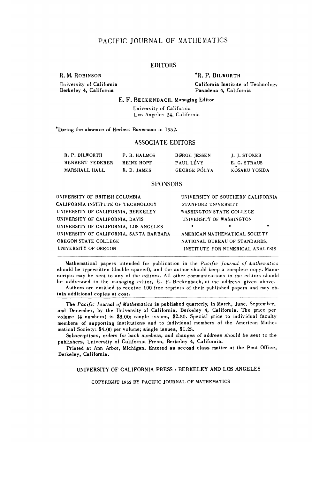### **PACIFIC JOURNAL OF MATHEMATICS**

### **EDITORS**

R. M. ROBINSON **\*R. P. DILWORTH** 

University of California<br> **University of California**<br> **Pasadena 4, California**<br> **Pasadena 4, California Berkeley 4, California Pasadena 4, California**

### **E. F. BECKENBACH, Managing Editor**

**University of California Los Angeles 24, California**

**\*During the absence of Herbert Busemann in 1952.**

### **ASSOCIATE EDITORS**

| R. P. DILWORTH  | P.R. HALMOS | <b>BORGE JESSEN</b> | J. J. STOKER  |
|-----------------|-------------|---------------------|---------------|
| HERBERT FEDERER | HEINZ HOPF  | PAUL LÉVY           | E. G. STRAUS  |
| MARSHALL HALL   | R.D. JAMES  | <b>GEORGE PÓLYA</b> | KOSAKU YOSIDA |

### **SPONSORS**

| UNIVERSITY OF BRITISH COLUMBIA          | UNIVERSITY OF SOUTHERN CALIFORNIA |
|-----------------------------------------|-----------------------------------|
| CALIFORNIA INSTITUTE OF TECHNOLOGY      | STANFORD UNIVERSITY               |
| UNIVERSITY OF CALIFORNIA, BERKELEY      | WASHINGTON STATE COLLEGE          |
| UNIVERSITY OF CALIFORNIA, DAVIS         | UNIVERSITY OF WASHINGTON          |
| UNIVERSITY OF CALIFORNIA, LOS ANGELES   | ٠<br>٠                            |
| UNIVERSITY OF CALIFORNIA, SANTA BARBARA | AMERICAN MATHEMATICAL SOCIETY     |
| OREGON STATE COLLEGE                    | NATIONAL BUREAU OF STANDARDS,     |
| UNIVERSITY OF OREGON                    | INSTITUTE FOR NUMERICAL ANALYSIS  |
|                                         |                                   |

**Mathematical papers intended for publication in the** *Pacific Journal of Mathematics* **should be typewritten (double spaced), and the author should keep a complete copy. Manuscripts may be sent to any of the editors. All other communications to the editors should be addressed to the managing editor, E. F. Beckenbach, at the address given above.**

**Authors are entitled to receive 100 free reprints of their published papers and may obtain additional copies at cost.**

**The** *Pacific Journal of Mathematics* **is published quarterly, in March, June, September, and December, by the University of California, Berkeley 4, California. The price per volume (4 numbers) is \$8.00; single issues, \$2.50. Special price to individual faculty members of supporting institutions and to individual members of the American Mathematical Society: \$4.00 per volume; single issues, \$1.25.**

**Subscriptions, orders for back numbers, and changes of address should be sent to the publishers, University of California Press, Berkeley 4, California.**

**Printed at Ann Arbor, Michigan. Entered as second class matter at the Post Office, Berkeley, California.**

### **UNIVERSITY OF CALIFORNIA PRESS . BERKELEY AND LOS ANGELES**

**COPYRIGHT 1952 BY PACIFIC JOURNAL OF MATHEMATICS**